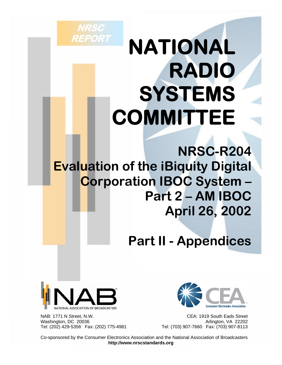# **NATIONAL RADIO SYSTEMS COMMITTEE**

**NRSC-R204 Evaluation of the iBiquity Digital Corporation IBOC System – Part 2 – AM IBOC April 26, 2002**

## **Part II - Appendices**



**NRSC** 

**REPORT** 

Washington, DC 20036<br>Tel: (202) 429-5356 Fax: (202) 775-4981 **Archard Tel: (703) 907-7660** Fax: (703) 907-8113



 NAB: 1771 N Street, N.W. CEA: 1919 South Eads Street Tel: (703) 907-7660 Fax: (703) 907-8113

 Co-sponsored by the Consumer Electronics Association and the National Association of Broadcasters **http://www.nrscstandards.org**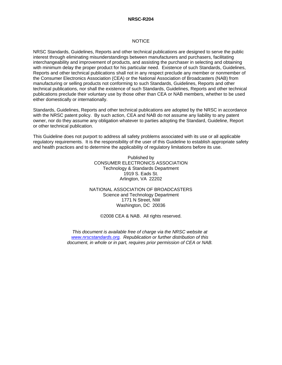#### **NRSC-R204**

#### **NOTICE**

NRSC Standards, Guidelines, Reports and other technical publications are designed to serve the public interest through eliminating misunderstandings between manufacturers and purchasers, facilitating interchangeability and improvement of products, and assisting the purchaser in selecting and obtaining with minimum delay the proper product for his particular need. Existence of such Standards, Guidelines, Reports and other technical publications shall not in any respect preclude any member or nonmember of the Consumer Electronics Association (CEA) or the National Association of Broadcasters (NAB) from manufacturing or selling products not conforming to such Standards, Guidelines, Reports and other technical publications, nor shall the existence of such Standards, Guidelines, Reports and other technical publications preclude their voluntary use by those other than CEA or NAB members, whether to be used either domestically or internationally.

Standards, Guidelines, Reports and other technical publications are adopted by the NRSC in accordance with the NRSC patent policy. By such action, CEA and NAB do not assume any liability to any patent owner, nor do they assume any obligation whatever to parties adopting the Standard, Guideline, Report or other technical publication.

This Guideline does not purport to address all safety problems associated with its use or all applicable regulatory requirements. It is the responsibility of the user of this Guideline to establish appropriate safety and health practices and to determine the applicability of regulatory limitations before its use.

> Published by CONSUMER ELECTRONICS ASSOCIATION Technology & Standards Department 1919 S. Eads St. Arlington, VA 22202

NATIONAL ASSOCIATION OF BROADCASTERS Science and Technology Department 1771 N Street, NW Washington, DC 20036

©2008 CEA & NAB. All rights reserved.

*This document is available free of charge via the NRSC website at www.nrscstandards.org. Republication or further distribution of this document, in whole or in part, requires prior permission of CEA or NAB.*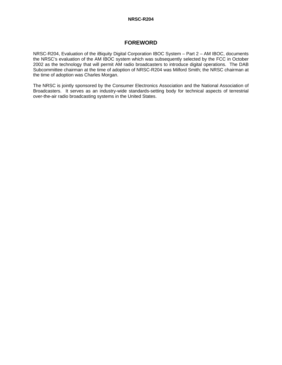#### **NRSC-R204**

#### **FOREWORD**

NRSC-R204, Evaluation of the iBiquity Digital Corporation IBOC System – Part 2 – AM IBOC, documents the NRSC's evaluation of the AM IBOC system which was subsequently selected by the FCC in October 2002 as the technology that will permit AM radio broadcasters to introduce digital operations. The DAB Subcommittee chairman at the time of adoption of NRSC-R204 was Milford Smith; the NRSC chairman at the time of adoption was Charles Morgan.

The NRSC is jointly sponsored by the Consumer Electronics Association and the National Association of Broadcasters. It serves as an industry-wide standards-setting body for technical aspects of terrestrial over-the-air radio broadcasting systems in the United States.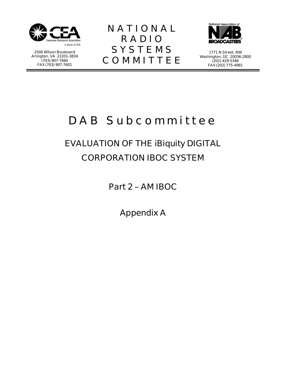

**2500 Wilson Boulevard Arlington, VA 22201-3834 (703) 907-7660 FAX (703) 907-7601** 

**NATIONAL RADIO SYSTEMS COMMITTEE**



**1771 N Street, NW Washington, DC 20036-2800 (202) 429-5346 FAX (202) 775-4981**

### **DAB Subcommittee**

### **EVALUATION OF THE iBiquity DIGITAL CORPORATION IBOC SYSTEM**

**Part 2 – AM IBOC** 

**Appendix A**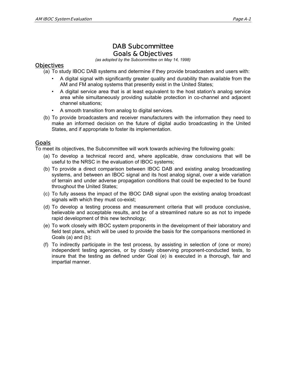#### **DAB Subcommittee Goals & Objectives**

*(as adopted by the Subcommittee on May 14, 1998)*

#### **Objectives**

- (a) To study IBOC DAB systems and determine if they provide broadcasters and users with:
	- A digital signal with significantly greater quality and durability than available from the AM and FM analog systems that presently exist in the United States;
	- A digital service area that is at least equivalent to the host station's analog service area while simultaneously providing suitable protection in co-channel and adjacent channel situations;
	- A smooth transition from analog to digital services.
- (b) To provide broadcasters and receiver manufacturers with the information they need to make an informed decision on the future of digital audio broadcasting in the United States, and if appropriate to foster its implementation.

#### **Goals**

To meet its objectives, the Subcommittee will work towards achieving the following goals:

- (a) To develop a technical record and, where applicable, draw conclusions that will be useful to the NRSC in the evaluation of IBOC systems;
- (b) To provide a direct comparison between IBOC DAB and existing analog broadcasting systems, and between an IBOC signal and its host analog signal, over a wide variation of terrain and under adverse propagation conditions that could be expected to be found throughout the United States;
- (c) To fully assess the impact of the IBOC DAB signal upon the existing analog broadcast signals with which they must co-exist;
- (d) To develop a testing process and measurement criteria that will produce conclusive, believable and acceptable results, and be of a streamlined nature so as not to impede rapid development of this new technology;
- (e) To work closely with IBOC system proponents in the development of their laboratory and field test plans, which will be used to provide the basis for the comparisons mentioned in Goals (a) and (b);
- (f) To indirectly participate in the test process, by assisting in selection of (one or more) independent testing agencies, or by closely observing proponent-conducted tests, to insure that the testing as defined under Goal (e) is executed in a thorough, fair and impartial manner.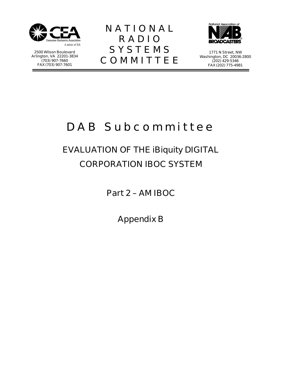

**2500 Wilson Boulevard Arlington, VA 22201-3834 (703) 907-7660 FAX (703) 907-7601** 

**NATIONAL RADIO SYSTEMS COMMITTEE**



**1771 N Street, NW Washington, DC 20036-2800 (202) 429-5346 FAX (202) 775-4981**

### **DAB Subcommittee**

### **EVALUATION OF THE iBiquity DIGITAL CORPORATION IBOC SYSTEM**

**Part 2 – AM IBOC** 

**Appendix B**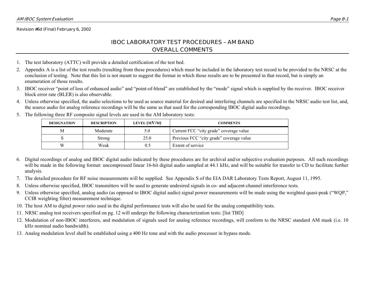#### **IBOC LABORATORY TEST PROCEDURES – AM BAND OVERALL COMMENTS**

- 1. The test laboratory (ATTC) will provide a detailed certification of the test bed.
- 2. Appendix A is a list of the test results (resulting from these procedures) which must be included in the laboratory test record to be provided to the NRSC at the conclusion of testing. Note that this list is not meant to suggest the format in which those results are to be presented in that record, but is simply an enumeration of those results.
- 3. IBOC receiver "point of loss of enhanced audio" and "point-of-blend" are established by the "mode" signal which is supplied by the receiver. IBOC receiver block error rate (BLER) is also observable.
- 4. Unless otherwise specified, the audio selections to be used as source material for desired and interfering channels are specified in the NRSC audio test list, and, the source audio for analog reference recordings will be the same as that used for the corresponding IBOC digital audio recordings.

| <b>DESIGNATION</b> | <b>DESCRIPTION</b> | LEVEL $(MV/M)$ | <b>COMMENTS</b>                          |
|--------------------|--------------------|----------------|------------------------------------------|
| Μ                  | Moderate           | 5.0            | Current FCC "city grade" coverage value  |
|                    | Strong             | 25.0           | Previous FCC "city grade" coverage value |
| W                  | Weak               | 0.5            | Extent of service                        |

5. The following three RF composite signal levels are used in the AM laboratory tests:

- 6. Digital recordings of analog and IBOC digital audio indicated by these procedures are for archival and/or subjective evaluation purposes. All such recordings will be made in the following format: uncompressed linear 16-bit digital audio sampled at 44.1 kHz, and will be suitable for transfer to CD to facilitate further analysis.
- 7. The detailed procedure for RF noise measurements will be supplied. See Appendix S of the EIA DAR Laboratory Tests Report, August 11, 1995.
- 8. Unless otherwise specified, IBOC transmitters will be used to generate undesired signals in co- and adjacent-channel interference tests.
- 9. Unless otherwise specified, analog audio (as opposed to IBOC digital audio) signal power measurements will be made using the weighted quasi-peak ("WQP," CCIR weighting filter) measurement technique.
- 10. The host AM to digital power ratio used in the digital performance tests will also be used for the analog compatibility tests.
- 11. NRSC analog test receivers specified on pg. 12 will undergo the following characterization tests: [list TBD]
- 12. Modulation of non-IBOC interferers, and modulation of signals used for analog reference recordings, will conform to the NRSC standard AM mask (i.e. 10 kHz nominal audio bandwidth).
- 13. Analog modulation level shall be established using a 400 Hz tone and with the audio processor in bypass mode.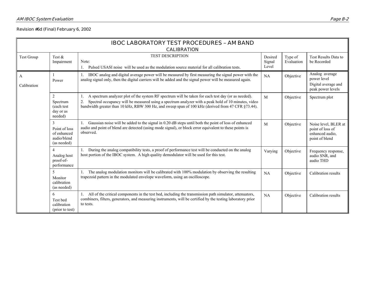|                  | <b>IBOC LABORATORY TEST PROCEDURES - AM BAND</b>                |                                                                                                                                                                                                                                                                                                                       |                            |                       |                                                                               |  |  |
|------------------|-----------------------------------------------------------------|-----------------------------------------------------------------------------------------------------------------------------------------------------------------------------------------------------------------------------------------------------------------------------------------------------------------------|----------------------------|-----------------------|-------------------------------------------------------------------------------|--|--|
| Test Group       | Test $\&$<br>Impairment                                         | <b>CALIBRATION</b><br><b>TEST DESCRIPTION</b><br>Note:<br>1. Pulsed USASI noise will be used as the modulation source material for all calibration tests.                                                                                                                                                             | Desired<br>Signal<br>Level | Type of<br>Evaluation | Test Results Data to<br>be Recorded                                           |  |  |
| A<br>Calibration | Power                                                           | IBOC analog and digital average power will be measured by first measuring the signal power with the<br>analog signal only, then the digital carriers will be added and the signal power will be measured again.                                                                                                       | NA                         | Objective             | Analog average<br>power level<br>Digital average and<br>peak power levels     |  |  |
|                  | 2<br>Spectrum<br>(each test<br>day or as<br>needed)             | A spectrum analyzer plot of the system RF spectrum will be taken for each test day (or as needed).<br>Spectral occupancy will be measured using a spectrum analyzer with a peak hold of 10 minutes, video<br>2.<br>bandwidth greater than 10 kHz, RBW 300 Hz, and sweep span of 100 kHz (derived from 47 CFR §73.44). | M                          | Objective             | Spectrum plot                                                                 |  |  |
|                  | 3<br>Point of loss<br>of enhanced<br>audio/blend<br>(as needed) | Gaussian noise will be added to the signal in 0.20 dB steps until both the point of loss of enhanced<br>audio and point of blend are detected (using mode signal), or block error equivalent to these points is<br>observed.                                                                                          | M                          | Objective             | Noise level, BLER at<br>point of loss of<br>enhanced audio,<br>point of blend |  |  |
|                  | 4<br>Analog host<br>proof-of-<br>performance                    | During the analog compatibility tests, a proof of performance test will be conducted on the analog<br>host portion of the IBOC system. A high quality demodulator will be used for this test.                                                                                                                         | Varying                    | Objective             | Frequency response,<br>audio SNR, and<br>audio THD                            |  |  |
|                  | 5<br>Monitor<br>calibration<br>(as needed)                      | The analog modulation monitors will be calibrated with 100% modulation by observing the resulting<br>trapezoid pattern in the modulated envelope waveform, using an oscilloscope.                                                                                                                                     | NA                         | Objective             | Calibration results                                                           |  |  |
|                  | 6<br>Test bed<br>calibration<br>(prior to test)                 | All of the critical components in the test bed, including the transmission path simulator, attenuators,<br>combiners, filters, generators, and measuring instruments, will be certified by the testing laboratory prior<br>to tests.                                                                                  | NA                         | Objective             | Calibration results                                                           |  |  |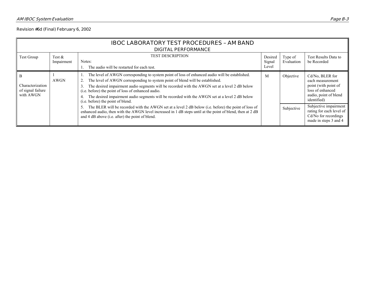| <b>IBOC LABORATORY TEST PROCEDURES - AM BAND</b><br><b>DIGITAL PERFORMANCE</b> |                         |                                                                                                                                                                                                                                                                                                                                                                                                                                                                                |                            |                       |                                                                                                                                 |  |
|--------------------------------------------------------------------------------|-------------------------|--------------------------------------------------------------------------------------------------------------------------------------------------------------------------------------------------------------------------------------------------------------------------------------------------------------------------------------------------------------------------------------------------------------------------------------------------------------------------------|----------------------------|-----------------------|---------------------------------------------------------------------------------------------------------------------------------|--|
| Test Group                                                                     | Test $\&$<br>Impairment | <b>TEST DESCRIPTION</b><br>Notes:<br>The audio will be restarted for each test.                                                                                                                                                                                                                                                                                                                                                                                                | Desired<br>Signal<br>Level | Type of<br>Evaluation | Test Results Data to<br>be Recorded                                                                                             |  |
| B<br>Characterization<br>of signal failure<br>with AWGN                        | <b>AWGN</b>             | The level of AWGN corresponding to system point of loss of enhanced audio will be established.<br>The level of AWGN corresponding to system point of blend will be established.<br>The desired impairment audio segments will be recorded with the AWGN set at a level 2 dB below<br>(i.e. before) the point of loss of enhanced audio.<br>The desired impairment audio segments will be recorded with the AWGN set at a level 2 dB below<br>(i.e. before) the point of blend. | M                          | Objective             | Cd/No, BLER for<br>each measurement<br>point (with point of<br>loss of enhanced<br>audio, point of blend<br><i>identified</i> ) |  |
|                                                                                |                         | The BLER will be recorded with the AWGN set at a level 2 dB below (i.e. before) the point of loss of<br>enhanced audio, then with the AWGN level increased in 1 dB steps until at the point of blend, then at 2 dB<br>and 4 dB above (i.e. after) the point of blend.                                                                                                                                                                                                          |                            | Subjective            | Subjective impairment<br>rating for each level of<br>Cd/No for recordings<br>made in steps 3 and 4                              |  |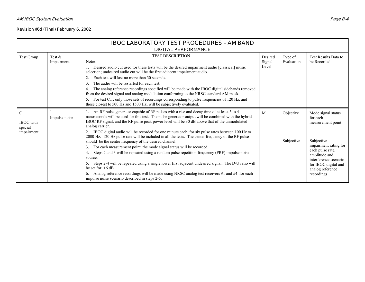|                                                | <b>IBOC LABORATORY TEST PROCEDURES - AM BAND</b><br><b>DIGITAL PERFORMANCE</b> |                                                                                                                                                                                                                                                                                                                                                                                                                                                                                                                                                                                                                                                                                                           |                            |                       |                                                                                                                                                             |  |  |
|------------------------------------------------|--------------------------------------------------------------------------------|-----------------------------------------------------------------------------------------------------------------------------------------------------------------------------------------------------------------------------------------------------------------------------------------------------------------------------------------------------------------------------------------------------------------------------------------------------------------------------------------------------------------------------------------------------------------------------------------------------------------------------------------------------------------------------------------------------------|----------------------------|-----------------------|-------------------------------------------------------------------------------------------------------------------------------------------------------------|--|--|
| Test Group                                     | Test $\&$<br>Impairment                                                        | <b>TEST DESCRIPTION</b><br>Notes:<br>Desired audio cut used for these tests will be the desired impairment audio [classical] music<br>selection; undesired audio cut will be the first adjacent impairment audio.<br>Each test will last no more than 30 seconds.<br>2.<br>The audio will be restarted for each test.<br>3.<br>The analog reference recordings specified will be made with the IBOC digital sidebands removed<br>4.<br>from the desired signal and analog modulation conforming to the NRSC standard AM mask.<br>5. For test C.1, only those sets of recordings corresponding to pulse frequencies of 120 Hz, and<br>those closest to 500 Hz and 1500 Hz, will be subjectively evaluated. | Desired<br>Signal<br>Level | Type of<br>Evaluation | Test Results Data to<br>be Recorded                                                                                                                         |  |  |
| C<br><b>IBOC</b> with<br>special<br>impairment | Impulse noise                                                                  | 1. An RF pulse generator capable of RF pulses with a rise and decay time of at least 3 to 4<br>nanoseconds will be used for this test. The pulse generator output will be combined with the hybrid<br>IBOC RF signal, and the RF pulse peak power level will be 30 dB above that of the unmodulated<br>analog carrier.<br>2. IBOC digital audio will be recorded for one minute each, for six pulse rates between 100 Hz to                                                                                                                                                                                                                                                                               | M                          | Objective             | Mode signal status<br>for each<br>measurement point                                                                                                         |  |  |
|                                                |                                                                                | 2000 Hz. 120 Hz pulse rate will be included in all the tests. The center frequency of the RF pulse<br>should be the center frequency of the desired channel.<br>For each measurement point, the mode signal status will be recorded.<br>3.<br>Steps 2 and 3 will be repeated using a random pulse repetition frequency (PRF) impulse noise<br>4.<br>source.<br>Steps 2-4 will be repeated using a single lower first adjacent undesired signal. The D/U ratio will<br>5.<br>be set for $+6$ dB.<br>6. Analog reference recordings will be made using NRSC analog test receivers #1 and #4 for each<br>impulse noise scenario described in steps 2-5.                                                      |                            | Subjective            | Subjective<br>impairment rating for<br>each pulse rate,<br>amplitude and<br>interference scenario<br>for IBOC digital and<br>analog reference<br>recordings |  |  |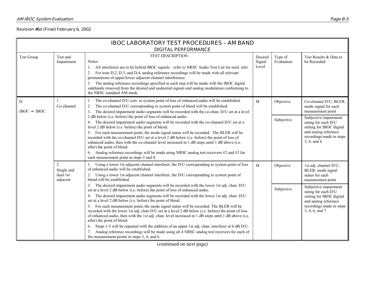|                              | <b>IBOC LABORATORY TEST PROCEDURES - AM BAND</b><br><b>DIGITAL PERFORMANCE</b> |                                                                                                                                                                                                                                                                                                                                                                                                                                                                                                                                                                                                                                                                                                                                                                                                                                                                                                                                                  |                            |                       |                                                                                                                                                |  |  |
|------------------------------|--------------------------------------------------------------------------------|--------------------------------------------------------------------------------------------------------------------------------------------------------------------------------------------------------------------------------------------------------------------------------------------------------------------------------------------------------------------------------------------------------------------------------------------------------------------------------------------------------------------------------------------------------------------------------------------------------------------------------------------------------------------------------------------------------------------------------------------------------------------------------------------------------------------------------------------------------------------------------------------------------------------------------------------------|----------------------------|-----------------------|------------------------------------------------------------------------------------------------------------------------------------------------|--|--|
| <b>Test Group</b>            | Test and<br>Impairment                                                         | <b>TEST DESCRIPTION</b><br>Notes:<br>All interferers are to be hybrid IBOC signals – refer to NRSC Audio Test List for mod. info.<br>1.<br>For tests D.2, D.3, and D.4, analog reference recordings will be made with all relevant<br>permutations of upper/lower adjacent channel interference.<br>3. The analog reference recordings specified in each step will be made with the IBOC digital<br>sidebands removed from the desired and undesired signals and analog modulation conforming to<br>the NRSC standard AM mask.                                                                                                                                                                                                                                                                                                                                                                                                                   | Desired<br>Signal<br>Level | Type of<br>Evaluation | Test Results & Data to<br>be Recorded                                                                                                          |  |  |
| D<br>$IBOC \rightarrow IBOC$ | Co-channel                                                                     | The co-channel D/U corr. to system point of loss of enhanced audio will be established.<br>1.<br>The co-channel D/U corresponding to system point of blend will be established.<br>2.<br>3.<br>The desired impairment audio segments will be recorded with the co-chan. D/U set at a level                                                                                                                                                                                                                                                                                                                                                                                                                                                                                                                                                                                                                                                       | M                          | Objective             | Co-channel D/U, BLER,<br>mode signal for each<br>measurement point                                                                             |  |  |
|                              |                                                                                | 2 dB below (i.e. before) the point of loss of enhanced audio.<br>4. The desired impairment audio segments will be recorded with the co-channel D/U set at a<br>level 2 dB below (i.e. before) the point of blend.<br>5. For each measurement point, the mode signal status will be recorded. The BLER will be<br>recorded with the co-channel D/U set at a level 2 dB below (i.e. before) the point of loss of<br>enhanced audio, then with the co-channel level increased in 1 dB steps until 1 dB above (i.e.<br>after) the point of blend.<br>6. Analog reference recordings will be made using NRSC analog test receivers #2 and #3 for<br>each measurement point in steps 3 and 4.                                                                                                                                                                                                                                                          |                            | Subjective            | Subjective impairment<br>rating for each D/U<br>setting for IBOC digital<br>and analog reference<br>recordings made in steps<br>3, 4, and 6    |  |  |
|                              | $\overline{2}$<br>Single and<br>dual 1st<br>adjacent                           | 1. Using a lower 1st adjacent channel interferer, the D/U corresponding to system point of loss<br>of enhanced audio will be established.<br>2. Using a lower 1st adjacent channel interferer, the D/U corresponding to system point of<br>blend will be established.                                                                                                                                                                                                                                                                                                                                                                                                                                                                                                                                                                                                                                                                            | M                          | Objective             | 1st adj. channel D/U,<br>BLER, mode signal<br>status for each<br>measurement point                                                             |  |  |
|                              |                                                                                | 3. The desired impairment audio segments will be recorded with the lower 1st adj. chan. D/U<br>set at a level 2 dB below (i.e. before) the point of loss of enhanced audio.<br>4. The desired impairment audio segments will be recorded with the lower 1st adj. chan. D/U<br>set at a level 2 dB below (i.e. before) the point of blend.<br>5. For each measurement point, the mode signal status will be recorded. The BLER will be<br>recorded with the lower 1st adj. chan D/U set at a level 2 dB below (i.e. before) the point of loss<br>of enhanced audio, then with the 1st adj. chan. level increased in 1 dB steps until 1 dB above (i.e.<br>after) the point of blend.<br>Steps 1-5 will be repeated with the addition of an upper 1st adj. chan. interferer at 6 dB D/U.<br>6.<br>Analog reference recordings will be made using all 4 NRSC analog test receivers for each of<br>7.<br>the measurement points in steps 3, 4, and 6. |                            | Subjective            | Subjective impairment<br>rating for each D/U<br>setting for IBOC digital<br>and analog reference<br>recordings made in steps<br>3, 4, 6, and 7 |  |  |

(continued on next page)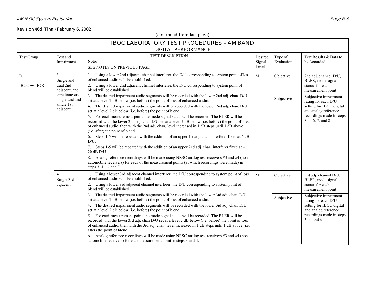(continued from last page)

|                                        |                                                                                                                       | <b>IBOC LABORATORY TEST PROCEDURES - AM BAND</b><br><b>DIGITAL PERFORMANCE</b>                                                                                                                                                                                                                                                                                                                                                                                                                                                                                                                                                                                                                                                                                                                                                                                                                                                                                                                                                                                                                                                                                                                                                                                                                                                                                                                                          |                            |                         |                                                                                                                                                                                                                                         |
|----------------------------------------|-----------------------------------------------------------------------------------------------------------------------|-------------------------------------------------------------------------------------------------------------------------------------------------------------------------------------------------------------------------------------------------------------------------------------------------------------------------------------------------------------------------------------------------------------------------------------------------------------------------------------------------------------------------------------------------------------------------------------------------------------------------------------------------------------------------------------------------------------------------------------------------------------------------------------------------------------------------------------------------------------------------------------------------------------------------------------------------------------------------------------------------------------------------------------------------------------------------------------------------------------------------------------------------------------------------------------------------------------------------------------------------------------------------------------------------------------------------------------------------------------------------------------------------------------------------|----------------------------|-------------------------|-----------------------------------------------------------------------------------------------------------------------------------------------------------------------------------------------------------------------------------------|
| <b>Test Group</b>                      | Test and<br>Impairment                                                                                                | <b>TEST DESCRIPTION</b><br>Notes:<br>SEE NOTES ON PREVIOUS PAGE                                                                                                                                                                                                                                                                                                                                                                                                                                                                                                                                                                                                                                                                                                                                                                                                                                                                                                                                                                                                                                                                                                                                                                                                                                                                                                                                                         | Desired<br>Signal<br>Level | Type of<br>Evaluation   | Test Results & Data to<br>be Recorded                                                                                                                                                                                                   |
| $\mathbf D$<br>$IBOC \rightarrow IBOC$ | $\overline{3}$<br>Single and<br>dual 2nd<br>adjacent, and<br>simultaneous<br>single 2nd and<br>single 1st<br>adjacent | 1. Using a lower 2nd adjacent channel interferer, the D/U corresponding to system point of loss<br>of enhanced audio will be established.<br>2. Using a lower 2nd adjacent channel interferer, the D/U corresponding to system point of<br>blend will be established.<br>3. The desired impairment audio segments will be recorded with the lower 2nd adj. chan. D/U<br>set at a level 2 dB below (i.e. before) the point of loss of enhanced audio.<br>4. The desired impairment audio segments will be recorded with the lower 2nd adj. chan. D/U<br>set at a level 2 dB below (i.e. before) the point of blend.<br>5. For each measurement point, the mode signal status will be recorded. The BLER will be<br>recorded with the lower 2nd adj. chan D/U set at a level 2 dB below (i.e. before) the point of loss<br>of enhanced audio, then with the 2nd adj. chan. level increased in 1 dB steps until 1 dB above<br>(i.e. after) the point of blend.<br>6. Steps 1-5 will be repeated with the addition of an upper 1st adj. chan. interferer fixed at 6 dB<br>$D/U$ .<br>7. Steps 1-5 will be repeated with the addition of an upper 2nd adj. chan. interferer fixed at -<br>20 dB D/U.<br>8. Analog reference recordings will be made using NRSC analog test receivers #3 and #4 (non-<br>automobile receivers) for each of the measurement points (at which recordings were made) in<br>steps 3, 4, 6, and 7. | M                          | Objective<br>Subjective | 2nd adj. channel D/U,<br>BLER, mode signal<br>status for each<br>measurement point<br>Subjective impairment<br>rating for each D/U<br>setting for IBOC digital<br>and analog reference<br>recordings made in steps<br>3, 4, 6, 7, and 8 |
|                                        | 4<br>Single 3rd<br>adjacent                                                                                           | 1. Using a lower 3rd adjacent channel interferer, the D/U corresponding to system point of loss<br>of enhanced audio will be established.<br>2. Using a lower 3rd adjacent channel interferer, the D/U corresponding to system point of<br>blend will be established.<br>3. The desired impairment audio segments will be recorded with the lower 3rd adj. chan. D/U<br>set at a level 2 dB below (i.e. before) the point of loss of enhanced audio.<br>4. The desired impairment audio segments will be recorded with the lower 3rd adj. chan. D/U<br>set at a level 2 dB below (i.e. before) the point of blend.<br>5. For each measurement point, the mode signal status will be recorded. The BLER will be<br>recorded with the lower 3rd adj. chan D/U set at a level 2 dB below (i.e. before) the point of loss<br>of enhanced audio, then with the 3rd adj. chan. level increased in 1 dB steps until 1 dB above (i.e.<br>after) the point of blend.<br>6. Analog reference recordings will be made using NRSC analog test receivers $\#3$ and $\#4$ (non-<br>automobile receivers) for each measurement point in steps 3 and 4.                                                                                                                                                                                                                                                                                 | M                          | Objective<br>Subjective | 3rd adj. channel D/U,<br>BLER, mode signal<br>status for each<br>measurement point<br>Subjective impairment<br>rating for each D/U<br>setting for IBOC digital<br>and analog reference<br>recordings made in steps<br>3, 4, and 6       |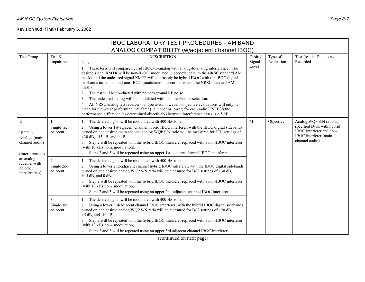|                                                                               | <b>IBOC LABORATORY TEST PROCEDURES - AM BAND</b> |                                                                                                                                                                                                                                                                                                                                                                                                                                                                                                                                                                                                                                                                                                                                                                                                                                                                     |                            |                       |                                                                                                                              |  |  |
|-------------------------------------------------------------------------------|--------------------------------------------------|---------------------------------------------------------------------------------------------------------------------------------------------------------------------------------------------------------------------------------------------------------------------------------------------------------------------------------------------------------------------------------------------------------------------------------------------------------------------------------------------------------------------------------------------------------------------------------------------------------------------------------------------------------------------------------------------------------------------------------------------------------------------------------------------------------------------------------------------------------------------|----------------------------|-----------------------|------------------------------------------------------------------------------------------------------------------------------|--|--|
|                                                                               | ANALOG COMPATIBILITY (w/adjacent channel IBOC)   |                                                                                                                                                                                                                                                                                                                                                                                                                                                                                                                                                                                                                                                                                                                                                                                                                                                                     |                            |                       |                                                                                                                              |  |  |
| <b>Test Group</b>                                                             | Test $\&$<br>Impairment                          | <b>DESCRIPTION</b><br>Notes:<br>1. These tests will compare hybrid IBOC-to-analog with analog-to-analog interference. The<br>desired signal XMTR will be non-IBOC (modulated in accordance with the NRSC standard AM<br>mask), and the undesired signal XMTR will alternately be hybrid IBOC with the IBOC digital<br>sidebands turned on, and non-IBOC (modulated in accordance with the NRSC standard AM<br>mask).<br>The test will be conducted with no background RF noise.<br>2.<br>The undesired analog will be modulated with the interference selection.<br>3.<br>All NRSC analog test receivers will be used, however, subjective evaluations will only be<br>4.<br>made for the worst performing interferer (i.e. upper or lower) for each radio UNLESS the<br>performance difference (as determined objectively) between interference cases is $> 5$ dB. | Desired<br>Signal<br>Level | Type of<br>Evaluation | Test Results Data to be<br>Recorded                                                                                          |  |  |
| E<br>IBOC $\rightarrow$<br>Analog (main<br>channel audio)<br>(interference to | Single 1st<br>adjacent                           | The desired signal will be modulated with 400 Hz tone.<br>Using a lower 1st-adjacent channel hybrid IBOC interferer, with the IBOC digital sidebands<br>turned on, the desired main channel analog WQP S/N ratio will be measured for D/U settings of<br>$+30$ dB, $+15$ dB, and 0 dB.<br>3. Step 2 will be repeated with the hybrid IBOC interferer replaced with a non-IBOC interferer<br>(with 10 kHz nom. modulation).<br>Steps 2 and 3 will be repeated using an upper 1st-adjacent channel IBOC interferer.<br>4.                                                                                                                                                                                                                                                                                                                                             | M                          | Objective             | Analog WQP S/N ratio at<br>specified D/Us with hybrid<br>IBOC interferer and non-<br>IBOC interferer (main<br>channel audio) |  |  |
| an analog<br>receiver with<br>no other<br>impairments)                        | $\overline{2}$<br>Single 2nd<br>adjacent         | The desired signal will be modulated with 400 Hz tone.<br>2. Using a lower 2nd-adjacent channel hybrid IBOC interferer, with the IBOC digital sidebands<br>turned on, the desired analog WQP S/N ratio will be measured for D/U settings of +30 dB,<br>$+15$ dB, and 0 dB.<br>3. Step 2 will be repeated with the hybrid IBOC interferer replaced with a non-IBOC interferer<br>(with 10 kHz nom. modulation).<br>Steps 2 and 3 will be repeated using an upper 2nd-adjacent channel IBOC interferer.<br>4.                                                                                                                                                                                                                                                                                                                                                         |                            |                       |                                                                                                                              |  |  |
|                                                                               | 3<br>Single 3rd<br>adjacent                      | The desired signal will be modulated with 400 Hz tone.<br>Using a lower 3rd-adjacent channel IBOC interferer, with the hybrid IBOC digital sidebands<br>2.<br>turned on, the desired analog WQP S/N ratio will be measured for D/U settings of $+20$ dB,<br>$+5$ dB, and $-10$ dB.<br>3. Step 2 will be repeated with the hybrid IBOC interferer replaced with a non-IBOC interferer<br>(with 10 kHz nom. modulation).<br>4. Steps 2 and 3 will be repeated using an upper 3rd-adjacent channel IBOC interferer.                                                                                                                                                                                                                                                                                                                                                    |                            |                       |                                                                                                                              |  |  |

(continued on next page)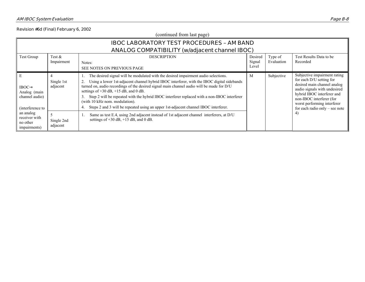(continued from last page)

|                                                                                                        | <b>IBOC LABORATORY TEST PROCEDURES - AM BAND</b> |                                                                                                                                                                                                                                                                                                                                                                                                                                                                                                                                                                                                                                                |                            |                       |                                                                                                                                                                                                                                                            |  |  |
|--------------------------------------------------------------------------------------------------------|--------------------------------------------------|------------------------------------------------------------------------------------------------------------------------------------------------------------------------------------------------------------------------------------------------------------------------------------------------------------------------------------------------------------------------------------------------------------------------------------------------------------------------------------------------------------------------------------------------------------------------------------------------------------------------------------------------|----------------------------|-----------------------|------------------------------------------------------------------------------------------------------------------------------------------------------------------------------------------------------------------------------------------------------------|--|--|
|                                                                                                        |                                                  | <b>ANALOG COMPATIBILITY (w/adjacent channel IBOC)</b>                                                                                                                                                                                                                                                                                                                                                                                                                                                                                                                                                                                          |                            |                       |                                                                                                                                                                                                                                                            |  |  |
| Test Group                                                                                             | Test $&$<br>Impairment                           | <b>DESCRIPTION</b><br>Notes:<br>SEE NOTES ON PREVIOUS PAGE                                                                                                                                                                                                                                                                                                                                                                                                                                                                                                                                                                                     | Desired<br>Signal<br>Level | Type of<br>Evaluation | Test Results Data to be<br>Recorded                                                                                                                                                                                                                        |  |  |
| $IBOC \rightarrow$<br>Analog (main<br>channel audio)<br>(interference to<br>an analog<br>receiver with | Single 1st<br>adjacent                           | The desired signal will be modulated with the desired impairment audio selections.<br>Using a lower 1st-adjacent channel hybrid IBOC interferer, with the IBOC digital sidebands<br>turned on, audio recordings of the desired signal main channel audio will be made for D/U<br>settings of $+30$ dB, $+15$ dB, and 0 dB.<br>Step 2 will be repeated with the hybrid IBOC interferer replaced with a non-IBOC interferer<br>(with 10 kHz nom. modulation).<br>Steps 2 and 3 will be repeated using an upper 1st-adjacent channel IBOC interferer.<br>Same as test E.4, using 2nd adjacent instead of 1st adjacent channel interferers, at D/U | М                          | Subjective            | Subjective impairment rating<br>for each D/U setting for<br>desired main channel analog<br>audio signals with undesired<br>hybrid IBOC interferer and<br>non-IBOC interferer (for<br>worst performing interferer<br>for each radio only $-$ see note<br>4) |  |  |
| no other<br>impairments)                                                                               | Single 2nd<br>adjacent                           | settings of $+30$ dB, $+15$ dB, and 0 dB.                                                                                                                                                                                                                                                                                                                                                                                                                                                                                                                                                                                                      |                            |                       |                                                                                                                                                                                                                                                            |  |  |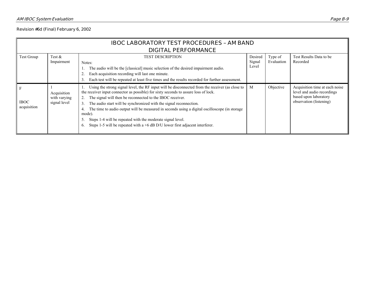| <b>IBOC LABORATORY TEST PROCEDURES - AM BAND</b> |                                             |                                                                                                                                                                                                                                                                                                                                                                                                                                                                                                                                                                                                                    |                            |                       |                                                                                                                  |  |
|--------------------------------------------------|---------------------------------------------|--------------------------------------------------------------------------------------------------------------------------------------------------------------------------------------------------------------------------------------------------------------------------------------------------------------------------------------------------------------------------------------------------------------------------------------------------------------------------------------------------------------------------------------------------------------------------------------------------------------------|----------------------------|-----------------------|------------------------------------------------------------------------------------------------------------------|--|
|                                                  |                                             | <b>DIGITAL PERFORMANCE</b>                                                                                                                                                                                                                                                                                                                                                                                                                                                                                                                                                                                         |                            |                       |                                                                                                                  |  |
| Test Group                                       | Test $\&$<br>Impairment                     | <b>TEST DESCRIPTION</b><br>Notes:<br>The audio will be the [classical] music selection of the desired impairment audio.<br>Each acquisition recording will last one minute.<br>Each test will be repeated at least five times and the results recorded for further assessment.<br>3.                                                                                                                                                                                                                                                                                                                               | Desired<br>Signal<br>Level | Type of<br>Evaluation | Test Results Data to be<br>Recorded                                                                              |  |
| <b>IBOC</b><br>acquisition                       | Acquisition<br>with varying<br>signal level | Using the strong signal level, the RF input will be disconnected from the receiver (as close to<br>the receiver input connector as possible) for sixty seconds to assure loss of lock.<br>The signal will then be reconnected to the IBOC receiver.<br>2.<br>The audio start will be synchronized with the signal reconnection.<br>3.<br>The time to audio output will be measured in seconds using a digital oscilloscope (in storage<br>4.<br>mode).<br>Steps 1-4 will be repeated with the moderate signal level.<br>5.<br>Steps 1-5 will be repeated with a $+6$ dB D/U lower first adjacent interferer.<br>6. | М                          | Objective             | Acquisition time at each noise<br>level and audio recordings<br>based upon laboratory<br>observation (listening) |  |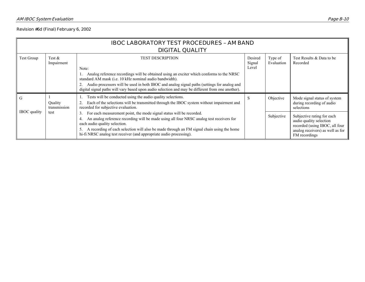|                     | <b>IBOC LABORATORY TEST PROCEDURES - AM BAND</b><br><b>DIGITAL QUALITY</b> |                                                                                                                                                                                                                                                                                                                                                                                             |                            |                       |                                                                                                                                              |  |  |  |
|---------------------|----------------------------------------------------------------------------|---------------------------------------------------------------------------------------------------------------------------------------------------------------------------------------------------------------------------------------------------------------------------------------------------------------------------------------------------------------------------------------------|----------------------------|-----------------------|----------------------------------------------------------------------------------------------------------------------------------------------|--|--|--|
| <b>Test Group</b>   | Test &<br>Impairment                                                       | <b>TEST DESCRIPTION</b><br>Note:<br>Analog reference recordings will be obtained using an exciter which conforms to the NRSC<br>standard AM mask (i.e. 10 kHz nominal audio bandwidth).<br>Audio processors will be used in both IBOC and analog signal paths (settings for analog and<br>digital signal paths will vary based upon audio selection and may be different from one another). | Desired<br>Signal<br>Level | Type of<br>Evaluation | Test Results & Data to be<br>Recorded                                                                                                        |  |  |  |
| G                   | Quality<br>transmission                                                    | Tests will be conducted using the audio quality selections.<br>Each of the selections will be transmitted through the IBOC system without impairment and<br>recorded for subjective evaluation.                                                                                                                                                                                             | S                          | Objective             | Mode signal status of system<br>during recording of audio<br>selections                                                                      |  |  |  |
| <b>IBOC</b> quality | test                                                                       | For each measurement point, the mode signal status will be recorded.<br>3.<br>An analog reference recording will be made using all four NRSC analog test receivers for<br>each audio quality selection.<br>A recording of each selection will also be made through an FM signal chain using the home<br>hi-fi NRSC analog test receiver (and appropriate audio processing).                 |                            | Subjective            | Subjective rating for each<br>audio quality selection<br>recorded (using IBOC, all four<br>analog receivers) as well as for<br>FM recordings |  |  |  |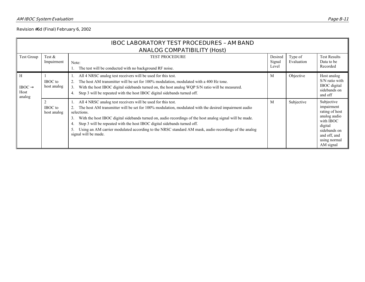|                                           | <b>IBOC LABORATORY TEST PROCEDURES - AM BAND</b><br><b>ANALOG COMPATIBILITY (Host)</b> |                                                                                                                                                                                                                                                                                                                                                                                                                                                                                                                         |                            |                       |                                                                                                                                                 |  |  |  |
|-------------------------------------------|----------------------------------------------------------------------------------------|-------------------------------------------------------------------------------------------------------------------------------------------------------------------------------------------------------------------------------------------------------------------------------------------------------------------------------------------------------------------------------------------------------------------------------------------------------------------------------------------------------------------------|----------------------------|-----------------------|-------------------------------------------------------------------------------------------------------------------------------------------------|--|--|--|
| Test Group                                | Test &<br>Impairment                                                                   | <b>TEST PROCEDURE</b><br>Note:<br>The test will be conducted with no background RF noise.                                                                                                                                                                                                                                                                                                                                                                                                                               | Desired<br>Signal<br>Level | Type of<br>Evaluation | <b>Test Results</b><br>Data to be<br>Recorded                                                                                                   |  |  |  |
| H<br>$IBOC \rightarrow$<br>Host<br>analog | IBOC to<br>host analog                                                                 | All 4 NRSC analog test receivers will be used for this test.<br>The host AM transmitter will be set for 100% modulation, modulated with a 400 Hz tone.<br>With the host IBOC digital sidebands turned on, the host analog WQP S/N ratio will be measured.<br>3.<br>Step 3 will be repeated with the host IBOC digital sidebands turned off.<br>4.                                                                                                                                                                       | M                          | Objective             | Host analog<br>S/N ratio with<br><b>IBOC</b> digital<br>sidebands on<br>and off                                                                 |  |  |  |
|                                           | 2<br>IBOC to<br>host analog                                                            | All 4 NRSC analog test receivers will be used for this test.<br>The host AM transmitter will be set for 100% modulation, modulated with the desired impairment audio<br>selections.<br>With the host IBOC digital sidebands turned on, audio recordings of the host analog signal will be made.<br>3.<br>Step 3 will be repeated with the host IBOC digital sidebands turned off.<br>4.<br>Using an AM carrier modulated according to the NRSC standard AM mask, audio recordings of the analog<br>signal will be made. | M                          | Subjective            | Subjective<br>impairment<br>rating of host<br>analog audio<br>with IBOC<br>digital<br>sidebands on<br>and off, and<br>using normal<br>AM signal |  |  |  |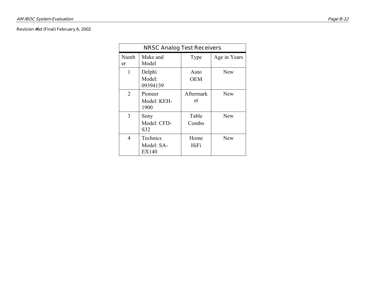| <b>NRSC Analog Test Receivers</b> |                                        |                    |              |  |  |  |
|-----------------------------------|----------------------------------------|--------------------|--------------|--|--|--|
| Numb<br>er                        | Make and<br>Model                      | Type               | Age in Years |  |  |  |
| 1                                 | Delphi<br>Model:<br>09394139           | Auto<br><b>OEM</b> | <b>New</b>   |  |  |  |
| 2                                 | Pioneer<br>Model: KEH-<br>1900         | Aftermark<br>et    | <b>New</b>   |  |  |  |
| 3                                 | Sony<br>Model: CFD-<br>S32             | Table<br>Combo     | <b>New</b>   |  |  |  |
| 4                                 | Technics<br>Model: SA-<br><b>EX140</b> | Home<br>HiFi       | <b>New</b>   |  |  |  |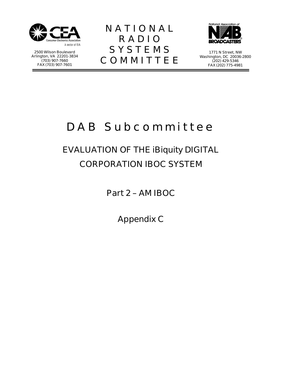

**2500 Wilson Boulevard Arlington, VA 22201-3834 (703) 907-7660 FAX (703) 907-7601** 

**NATIONAL RADIO SYSTEMS COMMITTEE**



**1771 N Street, NW Washington, DC 20036-2800 (202) 429-5346 FAX (202) 775-4981**

### **DAB Subcommittee**

### **EVALUATION OF THE iBiquity DIGITAL CORPORATION IBOC SYSTEM**

**Part 2 – AM IBOC** 

**Appendix C**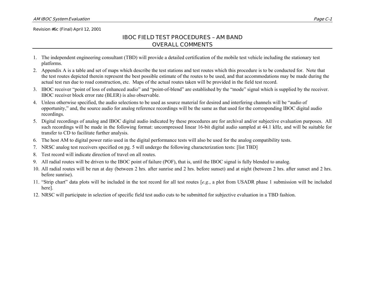#### **IBOC FIELD TEST PROCEDURES – AM BAND OVERALL COMMENTS**

- 1. The independent engineering consultant (TBD) will provide a detailed certification of the mobile test vehicle including the stationary test platforms.
- 2. Appendix A is a table and set of maps which describe the test stations and test routes which this procedure is to be conducted for. Note that the test routes depicted therein represent the best possible estimate of the routes to be used, and that accommodations may be made during the actual test run due to road construction, etc. Maps of the actual routes taken will be provided in the field test record.
- 3. IBOC receiver "point of loss of enhanced audio" and "point-of-blend" are established by the "mode" signal which is supplied by the receiver. IBOC receiver block error rate (BLER) is also observable.
- 4. Unless otherwise specified, the audio selections to be used as source material for desired and interfering channels will be "audio of opportunity," and, the source audio for analog reference recordings will be the same as that used for the corresponding IBOC digital audio recordings.
- 5. Digital recordings of analog and IBOC digital audio indicated by these procedures are for archival and/or subjective evaluation purposes. All such recordings will be made in the following format: uncompressed linear 16-bit digital audio sampled at 44.1 kHz, and will be suitable for transfer to CD to facilitate further analysis.
- 6. The host AM to digital power ratio used in the digital performance tests will also be used for the analog compatibility tests.
- 7. NRSC analog test receivers specified on pg. 5 will undergo the following characterization tests: [list TBD]
- 8. Test record will indicate direction of travel on all routes.
- 9. All radial routes will be driven to the IBOC point of failure (POF), that is, until the IBOC signal is fully blended to analog.
- 10. All radial routes will be run at day (between 2 hrs. after sunrise and 2 hrs. before sunset) and at night (between 2 hrs. after sunset and 2 hrs. before sunrise).
- 11. "Strip chart" data plots will be included in the test record for all test routes [*e.g.*, a plot from USADR phase 1 submission will be included here].
- 12. NRSC will participate in selection of specific field test audio cuts to be submitted for subjective evaluation in a TBD fashion.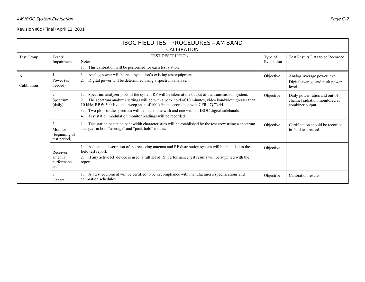|                  | <b>IBOC FIELD TEST PROCEDURES - AM BAND</b><br><b>CALIBRATION</b> |                                                                                                                                                                                                                                                                                                                                                                                                                                                          |                       |                                                                                     |  |  |  |  |  |  |  |  |
|------------------|-------------------------------------------------------------------|----------------------------------------------------------------------------------------------------------------------------------------------------------------------------------------------------------------------------------------------------------------------------------------------------------------------------------------------------------------------------------------------------------------------------------------------------------|-----------------------|-------------------------------------------------------------------------------------|--|--|--|--|--|--|--|--|
| Test Group       | Test $\&$<br>Impairment                                           | <b>TEST DESCRIPTION</b><br>Notes:<br>1. This calibration will be performed for each test station.                                                                                                                                                                                                                                                                                                                                                        | Type of<br>Evaluation | Test Results Data to be Recorded                                                    |  |  |  |  |  |  |  |  |
| A<br>Calibration | Power (as<br>needed)                                              | Analog power will be read by station's existing test equipment.<br>Digital power will be determined using a spectrum analyzer.                                                                                                                                                                                                                                                                                                                           | Objective             | Analog average power level<br>Digital average and peak power<br>levels              |  |  |  |  |  |  |  |  |
|                  | $\overline{2}$<br>Spectrum<br>(daily)                             | Spectrum analyzer plots of the system RF will be taken at the output of the transmission system.<br>The spectrum analyzer settings will be with a peak hold of 10 minutes, video bandwidth greater than<br>10 kHz, RBW 300 Hz, and sweep span of 100 kHz in accordance with CFR 47§73.44.<br>Two plots of the spectrum will be made: one with and one without IBOC digital sidebands.<br>3<br>Test station modulation monitor readings will be recorded. | Objective             | Daily power ratios and out-of-<br>channel radiation monitored at<br>combiner output |  |  |  |  |  |  |  |  |
|                  | 3<br>Monitor<br>(beginning of<br>test period)                     | Test station occupied bandwidth characteristics will be established by the test crew using a spectrum<br>analyzer in both "average" and "peak hold" modes.                                                                                                                                                                                                                                                                                               | Objective             | Certification should be recorded<br>in field test record                            |  |  |  |  |  |  |  |  |
|                  | Receiver<br>antenna<br>performance<br>and data                    | 1. A detailed description of the receiving antenna and RF distribution system will be included in the<br>field test report.<br>2. If any active RF device is used, a full set of RF performance test results will be supplied with the<br>report.                                                                                                                                                                                                        | Objective             |                                                                                     |  |  |  |  |  |  |  |  |
|                  | 5<br>General                                                      | All test equipment will be certified to be in compliance with manufacturer's specifications and<br>calibration schedules.                                                                                                                                                                                                                                                                                                                                | Objective             | Calibration results                                                                 |  |  |  |  |  |  |  |  |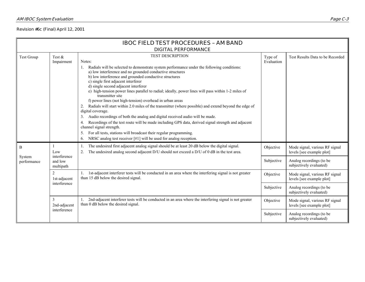|                       |                         | <b>IBOC FIELD TEST PROCEDURES - AM BAND</b><br><b>DIGITAL PERFORMANCE</b>                                                                                                                                                                                                                                                                                                                                                                                                                                                                                                                                                                                                                                                                                                                                                                                                                                                                                                                                                                                  |                       |                                                             |
|-----------------------|-------------------------|------------------------------------------------------------------------------------------------------------------------------------------------------------------------------------------------------------------------------------------------------------------------------------------------------------------------------------------------------------------------------------------------------------------------------------------------------------------------------------------------------------------------------------------------------------------------------------------------------------------------------------------------------------------------------------------------------------------------------------------------------------------------------------------------------------------------------------------------------------------------------------------------------------------------------------------------------------------------------------------------------------------------------------------------------------|-----------------------|-------------------------------------------------------------|
| <b>Test Group</b>     | Test $\&$<br>Impairment | <b>TEST DESCRIPTION</b><br>Notes:<br>Radials will be selected to demonstrate system performance under the following conditions:<br>1.<br>a) low interference and no grounded conductive structures<br>b) low interference and grounded conductive structures<br>c) single first adjacent interferer<br>d) single second adjacent interferer<br>e) high-tension power lines parallel to radial; ideally, power lines will pass within 1-2 miles of<br>transmitter site<br>f) power lines (not high-tension) overhead in urban areas<br>Radials will start within 2.0 miles of the transmitter (where possible) and extend beyond the edge of<br>2.<br>digital coverage.<br>Audio recordings of both the analog and digital received audio will be made.<br>3.<br>Recordings of the test route will be made including GPS data, derived signal strength and adjacent<br>4.<br>channel signal strength.<br>For all tests, stations will broadcast their regular programming.<br>5.<br>NRSC analog test receiver [#1] will be used for analog reception.<br>6. | Type of<br>Evaluation | Test Results Data to be Recorded                            |
| B                     | Low<br>interference     | The undesired first adjacent analog signal should be at least 20 dB below the digital signal.<br>The undesired analog second adjacent D/U should not exceed a D/U of 0 dB in the test area.<br>2.                                                                                                                                                                                                                                                                                                                                                                                                                                                                                                                                                                                                                                                                                                                                                                                                                                                          | Objective             | Mode signal, various RF signal<br>levels [see example plot] |
| System<br>performance | and low<br>multipath    |                                                                                                                                                                                                                                                                                                                                                                                                                                                                                                                                                                                                                                                                                                                                                                                                                                                                                                                                                                                                                                                            | Subjective            | Analog recordings (to be<br>subjectively evaluated)         |
|                       | 2<br>1st-adjacent       | 1st-adjacent interferer tests will be conducted in an area where the interfering signal is not greater<br>than 15 dB below the desired signal.                                                                                                                                                                                                                                                                                                                                                                                                                                                                                                                                                                                                                                                                                                                                                                                                                                                                                                             | Objective             | Mode signal, various RF signal<br>levels [see example plot] |
|                       | interference            |                                                                                                                                                                                                                                                                                                                                                                                                                                                                                                                                                                                                                                                                                                                                                                                                                                                                                                                                                                                                                                                            | Subjective            | Analog recordings (to be<br>subjectively evaluated)         |
|                       | 3<br>2nd-adjacent       | 1. 2nd-adjacent interferer tests will be conducted in an area where the interfering signal is not greater<br>than 0 dB below the desired signal.                                                                                                                                                                                                                                                                                                                                                                                                                                                                                                                                                                                                                                                                                                                                                                                                                                                                                                           | Objective             | Mode signal, various RF signal<br>levels [see example plot] |
|                       | interference            |                                                                                                                                                                                                                                                                                                                                                                                                                                                                                                                                                                                                                                                                                                                                                                                                                                                                                                                                                                                                                                                            | Subjective            | Analog recordings (to be<br>subjectively evaluated)         |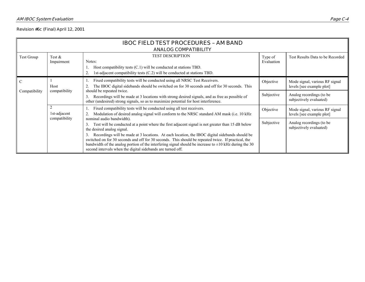|                             | <b>IBOC FIELD TEST PROCEDURES - AM BAND</b> |                                                                                                                                                                                                                                                                                                                                                                                          |                       |                                                             |  |  |  |  |  |  |  |  |  |
|-----------------------------|---------------------------------------------|------------------------------------------------------------------------------------------------------------------------------------------------------------------------------------------------------------------------------------------------------------------------------------------------------------------------------------------------------------------------------------------|-----------------------|-------------------------------------------------------------|--|--|--|--|--|--|--|--|--|
| <b>ANALOG COMPATIBILITY</b> |                                             |                                                                                                                                                                                                                                                                                                                                                                                          |                       |                                                             |  |  |  |  |  |  |  |  |  |
| <b>Test Group</b>           | Test $&$<br>Impairment                      | <b>TEST DESCRIPTION</b><br>Notes:<br>Host compatibility tests (C.1) will be conducted at stations TBD.<br>1st-adjacent compatibility tests (C.2) will be conducted at stations TBD.<br>2.                                                                                                                                                                                                | Type of<br>Evaluation | Test Results Data to be Recorded                            |  |  |  |  |  |  |  |  |  |
|                             | Host                                        | Fixed compatibility tests will be conducted using all NRSC Test Receivers.<br>The IBOC digital sidebands should be switched on for 30 seconds and off for 30 seconds. This                                                                                                                                                                                                               | Objective             | Mode signal, various RF signal<br>levels [see example plot] |  |  |  |  |  |  |  |  |  |
| Compatibility               | compatibility                               | should be repeated twice.<br>Recordings will be made at 3 locations with strong desired signals, and as free as possible of<br>3.<br>other (undesired) strong signals, so as to maximize potential for host interference.                                                                                                                                                                | Subjective            | Analog recordings (to be<br>subjectively evaluated)         |  |  |  |  |  |  |  |  |  |
|                             | 1st-adjacent                                | Fixed compatibility tests will be conducted using all test receivers.<br>Modulation of desired analog signal will conform to the NRSC standard AM mask (i.e. 10 kHz                                                                                                                                                                                                                      | Objective             | Mode signal, various RF signal<br>levels [see example plot] |  |  |  |  |  |  |  |  |  |
|                             | compatibility                               | nominal audio bandwidth).<br>Test will be conducted at a point where the first adjacent signal is not greater than 15 dB below<br>3.<br>the desired analog signal.                                                                                                                                                                                                                       |                       | Analog recordings (to be<br>subjectively evaluated)         |  |  |  |  |  |  |  |  |  |
|                             |                                             | Recordings will be made at 3 locations. At each location, the IBOC digital sidebands should be<br>3.<br>switched on for 30 seconds and off for 30 seconds. This should be repeated twice. If practical, the<br>bandwidth of the analog portion of the interfering signal should be increase to $\pm 10$ kHz during the 30<br>second intervals when the digital sidebands are turned off. |                       |                                                             |  |  |  |  |  |  |  |  |  |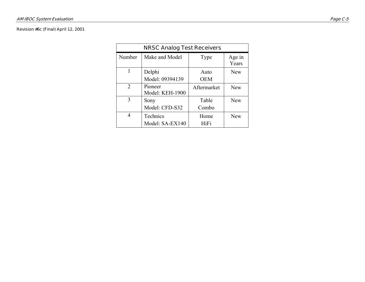|                             | <b>NRSC Analog Test Receivers</b> |             |                 |  |  |  |  |  |  |  |  |
|-----------------------------|-----------------------------------|-------------|-----------------|--|--|--|--|--|--|--|--|
| Number                      | Make and Model                    | Type        | Age in<br>Years |  |  |  |  |  |  |  |  |
|                             | Delphi                            | Auto        | <b>New</b>      |  |  |  |  |  |  |  |  |
|                             | Model: 09394139                   | <b>OEM</b>  |                 |  |  |  |  |  |  |  |  |
| $\mathcal{D}_{\mathcal{L}}$ | Pioneer<br><b>Model: KEH-1900</b> | Aftermarket | <b>New</b>      |  |  |  |  |  |  |  |  |
| 3                           | Sony                              | Table       | <b>New</b>      |  |  |  |  |  |  |  |  |
|                             | Model: CFD-S32                    | Combo       |                 |  |  |  |  |  |  |  |  |
|                             | Technics                          | Home        | <b>New</b>      |  |  |  |  |  |  |  |  |
|                             | Model: SA-EX140                   | <b>HiFi</b> |                 |  |  |  |  |  |  |  |  |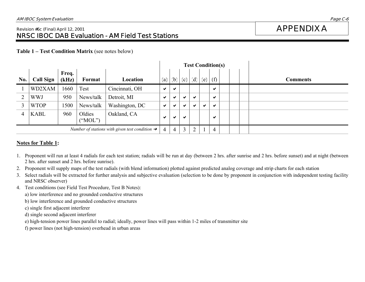#### Revision #6c (Final) April 12, 2001 **APPENDIX A NRSC IBOC DAB Evaluation - AM Field Test Stations**

**Table 1 – Test Condition Matrix** (see notes below)

|                                                            |                  |                |                   |                |                | <b>Test Condition(s)</b> |     |              |              |                |  |  |                 |
|------------------------------------------------------------|------------------|----------------|-------------------|----------------|----------------|--------------------------|-----|--------------|--------------|----------------|--|--|-----------------|
| No.                                                        | <b>Call Sign</b> | Freq.<br>(kHz) | Format            | Location       | (a)            | (b)                      | (c) | (d)          | (e)          | (f)            |  |  | <b>Comments</b> |
|                                                            | WD2XAM           | 1660           | Test              | Cincinnati, OH | $\checkmark$   | ✔                        |     |              |              | ✔              |  |  |                 |
| 2                                                          | <b>WWJ</b>       | 950            | News/talk         | Detroit, MI    | $\checkmark$   | ✔                        | ✔   | ✔            |              | ✔              |  |  |                 |
| 3                                                          | <b>WTOP</b>      | 1500           | News/talk         | Washington, DC | $\checkmark$   | ✔                        | ✔   | $\checkmark$ | $\checkmark$ | ✔              |  |  |                 |
|                                                            | <b>KABL</b>      | 960            | Oldies<br>("MOL") | Oakland, CA    | ✔              | ✔                        | ✔   |              |              | ✔              |  |  |                 |
| Number of stations with given test condition $\rightarrow$ |                  |                |                   |                | $\overline{4}$ | $\overline{4}$           | 3   | C            |              | $\overline{4}$ |  |  |                 |

#### **Notes for Table 1:**

- 1. Proponent will run at least 4 radials for each test station; radials will be run at day (between 2 hrs. after sunrise and 2 hrs. before sunset) and at night (between 2 hrs. after sunset and 2 hrs. before sunrise).
- 2. Proponent will supply maps of the test radials (with blend information) plotted against predicted analog coverage and strip charts for each station
- 3. Select radials will be extracted for further analysis and subjective evaluation (selection to be done by proponent in conjunction with independent testing facility and NRSC observer)
- 4. Test conditions (see Field Test Procedure, Test B Notes):
	- a) low interference and no grounded conductive structures
	- b) low interference and grounded conductive structures
	- c) single first adjacent interferer
	- d) single second adjacent interferer
	- e) high-tension power lines parallel to radial; ideally, power lines will pass within 1-2 miles of transmitter site
	- f) power lines (not high-tension) overhead in urban areas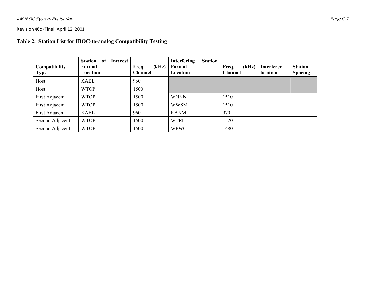#### **Table 2. Station List for IBOC-to-analog Compatibility Testing**

| Compatibility<br><b>Type</b> | <b>Station</b><br>of<br><b>Interest</b><br>Format<br>Location | (kHz)<br>Freq.<br><b>Channel</b> | <b>Station</b><br><b>Interfering</b><br>Format<br>Location | (kHz)<br>Freq.<br><b>Channel</b> | <b>Interferer</b><br>location | <b>Station</b><br><b>Spacing</b> |
|------------------------------|---------------------------------------------------------------|----------------------------------|------------------------------------------------------------|----------------------------------|-------------------------------|----------------------------------|
| Host                         | <b>KABL</b>                                                   | 960                              |                                                            |                                  |                               |                                  |
| Host                         | <b>WTOP</b>                                                   | 1500                             |                                                            |                                  |                               |                                  |
| First Adjacent               | <b>WTOP</b>                                                   | 1500                             | <b>WNNN</b>                                                | 1510                             |                               |                                  |
| First Adjacent               | <b>WTOP</b>                                                   | 1500                             | <b>WWSM</b>                                                | 1510                             |                               |                                  |
| First Adjacent               | <b>KABL</b>                                                   | 960                              | <b>KANM</b>                                                | 970                              |                               |                                  |
| Second Adjacent              | <b>WTOP</b>                                                   | 1500                             | <b>WTRI</b>                                                | 1520                             |                               |                                  |
| Second Adjacent              | <b>WTOP</b>                                                   | 1500                             | <b>WPWC</b>                                                | 1480                             |                               |                                  |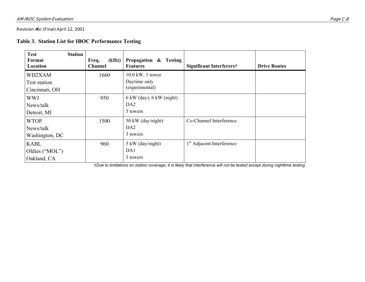**Table 3. Station List for IBOC Performance Testing**

| <b>Test</b><br><b>Station</b><br>Format<br>Location | (kHz)<br>Freq.<br><b>Channel</b> | Propagation & Testing<br><b>Features</b>     | Significant Interferers†              | <b>Drive Routes</b> |
|-----------------------------------------------------|----------------------------------|----------------------------------------------|---------------------------------------|---------------------|
| WD2XAM<br>Test station                              | 1660                             | $10.0$ kW, 1 tower<br>Daytime only           |                                       |                     |
| Cincinnati, OH                                      |                                  | (experimental)                               |                                       |                     |
| <b>WWJ</b>                                          | 950                              | $6 \text{ kW}$ (day), $6 \text{ kW}$ (night) |                                       |                     |
| News/talk                                           |                                  | DA <sub>2</sub>                              |                                       |                     |
| Detroit, MI                                         |                                  | 5 towers                                     |                                       |                     |
| <b>WTOP</b>                                         | 1500                             | 50 kW (day/night)                            | Co-Channel Interference               |                     |
| News/talk                                           |                                  | DA <sub>2</sub>                              |                                       |                     |
| Washington, DC                                      |                                  | 3 towers                                     |                                       |                     |
| <b>KABL</b>                                         | 960                              | 5 kW (day/night)                             | 1 <sup>st</sup> Adjacent Interference |                     |
| Oldies ("MOL")                                      |                                  | DA1                                          |                                       |                     |
| Oakland, CA                                         |                                  | 3 towers                                     |                                       |                     |

†*Due to limitations on station coverage, it is likely that interference will not be tested except during nighttime testing*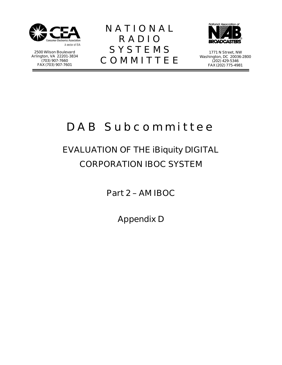

**2500 Wilson Boulevard Arlington, VA 22201-3834 (703) 907-7660 FAX (703) 907-7601** 

**NATIONAL RADIO SYSTEMS COMMITTEE**



**1771 N Street, NW Washington, DC 20036-2800 (202) 429-5346 FAX (202) 775-4981**

### **DAB Subcommittee**

### **EVALUATION OF THE iBiquity DIGITAL CORPORATION IBOC SYSTEM**

**Part 2 – AM IBOC** 

**Appendix D**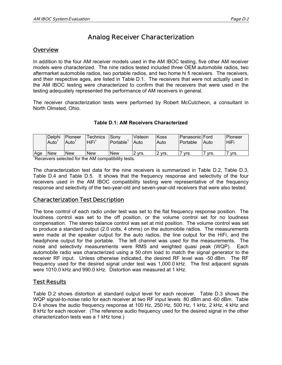### **Analog Receiver Characterization**

#### **Overview**

In addition to the four AM receiver models used in the AM IBOC testing, five other AM receiver models were characterized. The nine radios tested included three OEM automobile radios, two aftermarket automobile radios, two portable radios, and two home hi fi receivers. The receivers, and their respective ages, are listed in [Table D.1.](#page-28-0) The receivers that were not actually used in the AM IBOC testing were characterized to confirm that the receivers that were used in the testing adequately represented the performance of AM receivers in general.

The receiver characterization tests were performed by Robert McCutcheon, a consultant in North Olmsted, Ohio.

#### <span id="page-28-0"></span>**Table D.1: AM Receivers Characterized**

|     | Delphi<br>Auto | <b>IPioneer</b><br>Auto | ™echnics<br><b>HiFi</b> | <b>Sonv</b><br>Portable | Visteon<br>Auto | <b>Koss</b><br><b>Auto</b> | IPanasonicIFord<br>Portable | Auto | Pioneer<br>HiFi |
|-----|----------------|-------------------------|-------------------------|-------------------------|-----------------|----------------------------|-----------------------------|------|-----------------|
| Aqe | <b>New</b>     | <b>New</b>              | <b>New</b>              | <b>New</b>              | 2 vrs.          | 2 vrs.                     | vrs.                        | vrs. | vrs.            |

Receivers selected for the AM compatibility tests.

The characterization test data for the nine receivers is summarized in [Table D.2,](#page-29-0) [Table D.3,](#page-29-1) [Table D.4](#page-29-2) and [Table D.5.](#page-30-0) It shows that the frequency response and selectivity of the four receivers used in the AM IBOC compatibility testing were representative of the frequency response and selectivity of the two-year-old and seven-year-old receivers that were also tested.

#### **Characterization Test Description**

The tone control of each radio under test was set to the flat frequency response position. The loudness control was set to the off position, or the volume control set for no loudness compensation. The stereo balance control was set at mid position. The volume control was set to produce a standard output (2.0 volts, 4 ohms) on the automobile radios. The measurements were made at the speaker output for the auto radios, the line output for the HiFi, and the headphone output for the portable. The left channel was used for the measurements. The noise and selectivity measurements were RMS and weighted quasi peak (WQP). Each automobile radio was characterized using a 50 ohm load to match the signal generator to the receiver RF input. Unless otherwise indicated, the desired RF level was -50 dBm. The RF frequency used for the desired signal under test was 1,000.0 kHz. The first adjacent signals were 1010.0 kHz and 990.0 kHz. Distortion was measured at 1 kHz.

#### **Test Results**

[Table D.2](#page-29-0) shows distortion at standard output level for each receiver. [Table D.3](#page-29-1) shows the WQP signal-to-noise ratio for each receiver at two RF input levels 80 dBm and -60 dBm. [Table](#page-29-2)  [D.4](#page-29-2) shows the audio frequency response at 100 Hz, 250 Hz, 500 Hz, 1 kHz, 2 kHz, 4 kHz and 8 kHz for each receiver. (The reference audio frequency used for the desired signal in the other characterization tests was a 1 kHz tone.)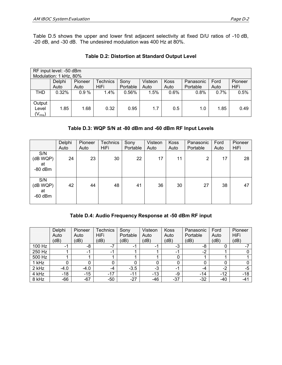[Table D.5](#page-30-0) shows the upper and lower first adjacent selectivity at fixed D/U ratios of -10 dB, -20 dB, and -30 dB. The undesired modulation was 400 Hz at 80%.

#### <span id="page-29-0"></span>**Table D.2: Distortion at Standard Output Level**

|                    | RF input level: -50 dBm |         |                 |          |         |             |           |      |         |  |  |  |
|--------------------|-------------------------|---------|-----------------|----------|---------|-------------|-----------|------|---------|--|--|--|
|                    | Modulation: 1 kHz, 80%  |         |                 |          |         |             |           |      |         |  |  |  |
|                    | Delphi                  | Pioneer | <b>Technics</b> | Sony     | Visteon | <b>Koss</b> | Panasonic | Ford | Pioneer |  |  |  |
|                    | Auto                    | Auto    | HiFi            | Portable | Auto    | Auto        | Portable  | Auto | HiFi    |  |  |  |
| <b>THD</b>         | 0.32%                   | 0.9%    | 1.4%            | 0.56%    | 1.5%    | $0.6\%$     | 0.8%      | 0.7% | 0.5%    |  |  |  |
|                    |                         |         |                 |          |         |             |           |      |         |  |  |  |
| Output<br>Level    | 1.85                    | 1.68    | 0.32            | 0.95     | 1.7     | 0.5         | 1.0       | 1.85 | 0.49    |  |  |  |
| $(V_{\text{rms}})$ |                         |         |                 |          |         |             |           |      |         |  |  |  |

#### <span id="page-29-1"></span>**Table D.3: WQP S/N at -80 dBm and -60 dBm RF Input Levels**

|                                    | Delphi<br>Auto | Pioneer<br>Auto | <b>Technics</b><br>HiFi | Sony<br>Portable | Visteon<br>Auto | Koss<br>Auto | Panasonic<br>Portable | Ford<br>Auto | Pioneer<br><b>HiFi</b> |
|------------------------------------|----------------|-----------------|-------------------------|------------------|-----------------|--------------|-----------------------|--------------|------------------------|
| S/N<br>(dB WQP)<br>at<br>$-80$ dBm | 24             | 23              | 30                      | 22               | 17              | 11           | $\overline{2}$        | 17           | 28                     |
| S/N<br>(dB WQP)<br>at<br>$-60$ dBm | 42             | 44              | 48                      | 41               | 36              | 30           | 27                    | 38           | 47                     |

#### <span id="page-29-2"></span>**Table D.4: Audio Frequency Response at -50 dBm RF input**

|        | Delphi<br>Auto<br>(dB) | Pioneer<br>Auto<br>(dB) | <b>Technics</b><br>HiFi<br>(dB) | Sony<br>Portable<br>(dB) | Visteon<br>Auto<br>(dB) | <b>Koss</b><br>Auto<br>(dB) | Panasonic<br>Portable<br>(dB) | Ford<br>Auto<br>(dB) | Pioneer<br>HiFi<br>(dB) |
|--------|------------------------|-------------------------|---------------------------------|--------------------------|-------------------------|-----------------------------|-------------------------------|----------------------|-------------------------|
| 100 Hz | $-1$                   | -8                      | -1                              | $\overline{\phantom{0}}$ | -1                      | -3                          | -8                            | 0                    |                         |
| 250 Hz |                        | $-1$                    | $-1$                            |                          |                         | -1                          | $-2$                          |                      |                         |
| 500 Hz |                        |                         |                                 |                          |                         | 0                           |                               |                      |                         |
| 1 kHz  |                        | 0                       |                                 |                          |                         | 0                           |                               |                      |                         |
| 2 kHz  | $-4.0$                 | $-4.0$                  | -4                              | $-3.5$                   | $-3$                    | -1                          | -4                            | $-2$                 | $-5$                    |
| 4 kHz  | $-18$                  | $-15$                   | $-17$                           | $-11$                    | $-13$                   | -9                          | $-14$                         | $-12$                | $-18$                   |
| 8 kHz  | $-66$                  | $-67$                   | $-50$                           | $-27$                    | $-46$                   | $-37$                       | $-32$                         | $-40$                | -41                     |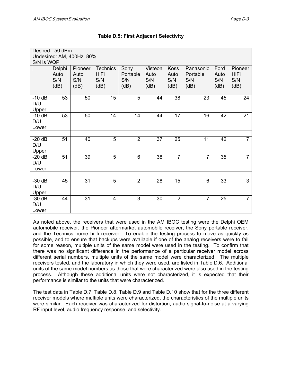|                          | Desired: -50 dBm<br>Undesired: AM, 400Hz, 80%<br>S/N is WQP |                                |                                               |                                 |                                |                                    |                                      |                             |                                |  |  |  |
|--------------------------|-------------------------------------------------------------|--------------------------------|-----------------------------------------------|---------------------------------|--------------------------------|------------------------------------|--------------------------------------|-----------------------------|--------------------------------|--|--|--|
|                          | Delphi<br>Auto<br>S/N<br>(dB)                               | Pioneer<br>Auto<br>S/N<br>(dB) | <b>Technics</b><br><b>HiFi</b><br>S/N<br>(dB) | Sony<br>Portable<br>S/N<br>(dB) | Visteon<br>Auto<br>S/N<br>(dB) | <b>Koss</b><br>Auto<br>S/N<br>(dB) | Panasonic<br>Portable<br>S/N<br>(dB) | Ford<br>Auto<br>S/N<br>(dB) | Pioneer<br>HiFi<br>S/N<br>(dB) |  |  |  |
| $-10$ dB<br>D/U<br>Upper | 53                                                          | 50                             | 15                                            | 5                               | 44                             | 38                                 | 23                                   | 45                          | 24                             |  |  |  |
| $-10$ dB<br>D/U<br>Lower | 53                                                          | 50                             | 14                                            | 14                              | 44                             | 17                                 | 16                                   | 42                          | 21                             |  |  |  |
| $-20$ dB<br>D/U<br>Upper | 51                                                          | 40                             | $\overline{5}$                                | $\overline{2}$                  | 37                             | 25                                 | 11                                   | 42                          | $\overline{7}$                 |  |  |  |
| $-20$ dB<br>D/U<br>Lower | 51                                                          | 39                             | 5                                             | 6                               | 38                             | $\overline{7}$                     | $\overline{7}$                       | 35                          | $\overline{7}$                 |  |  |  |
| $-30$ dB<br>D/U<br>Upper | 45                                                          | 31                             | $\overline{5}$                                | $\overline{2}$                  | 28                             | 15                                 | 6                                    | 33                          | $\overline{3}$                 |  |  |  |
| $-30$ dB<br>D/U<br>Lower | 44                                                          | 31                             | $\overline{4}$                                | 3                               | 30                             | $\overline{2}$                     | $\overline{7}$                       | 25                          | $\overline{7}$                 |  |  |  |

<span id="page-30-0"></span>

|  |  | <b>Table D.5: First Adjacent Selectivity</b> |
|--|--|----------------------------------------------|
|  |  |                                              |

As noted above, the receivers that were used in the AM IBOC testing were the Delphi OEM automobile receiver, the Pioneer aftermarket automobile receiver, the Sony portable receiver, and the Technics home hi fi receiver. To enable the testing process to move as quickly as possible, and to ensure that backups were available if one of the analog receivers were to fail for some reason, multiple units of the same model were used in the testing. To confirm that there was no significant difference in the performance of a particular receiver model across different serial numbers, multiple units of the same model were characterized. The multiple receivers tested, and the laboratory in which they were used, are listed in [Table D.6.](#page-31-0) Additional units of the same model numbers as those that were characterized were also used in the testing process. Although these additional units were not characterized, it is expected that their performance is similar to the units that were characterized.

The test data in [Table D.7,](#page-31-1) [Table D.8,](#page-31-2) [Table D.9](#page-32-0) and [Table D.10](#page-32-1) show that for the three different receiver models where multiple units were characterized, the characteristics of the multiple units were similar. Each receiver was characterized for distortion, audio signal-to-noise at a varying RF input level, audio frequency response, and selectivity.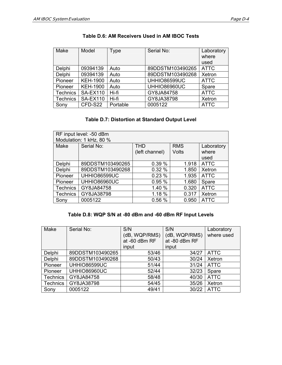| Make            | Model           | <b>Type</b> | Serial No:          | Laboratory<br>where<br>used |
|-----------------|-----------------|-------------|---------------------|-----------------------------|
| Delphi          | 09394139        | Auto        | 89DDSTM103490265    | <b>ATTC</b>                 |
| Delphi          | 09394139        | Auto        | 89DDSTM103490268    | Xetron                      |
| Pioneer         | <b>KEH-1900</b> | Auto        | <b>UHHIO86599UC</b> | <b>ATTC</b>                 |
| Pioneer         | <b>KEH-1900</b> | Auto        | UHHIO86960UC        | Spare                       |
| <b>Technics</b> | <b>SA-EX110</b> | Hi-fi       | GY8JA84758          | <b>ATTC</b>                 |
| <b>Technics</b> | <b>SA-EX110</b> | Hi-fi       | GY8JA38798          | Xetron                      |
| Sony            | CFD-S22         | Portable    | 0005122             | <b>ATTC</b>                 |

#### <span id="page-31-0"></span>**Table D.6: AM Receivers Used in AM IBOC Tests**

#### <span id="page-31-1"></span>**Table D.7: Distortion at Standard Output Level**

| RF input level: -50 dBm |                                                      |                |       |             |  |  |  |
|-------------------------|------------------------------------------------------|----------------|-------|-------------|--|--|--|
| Modulation: 1 kHz, 80 % |                                                      |                |       |             |  |  |  |
| Make                    | Serial No:<br><b>THD</b><br><b>RMS</b><br>Laboratory |                |       |             |  |  |  |
|                         |                                                      | (left channel) | Volts | where       |  |  |  |
|                         |                                                      |                |       | used        |  |  |  |
| Delphi                  | 89DDSTM103490265                                     | 0.39%          | 1.918 | <b>ATTC</b> |  |  |  |
| Delphi                  | 89DDSTM103490268                                     | 0.32%          | 1.850 | Xetron      |  |  |  |
| Pioneer                 | <b>UHHIO86599UC</b>                                  | 0.23%          | 1.935 | <b>ATTC</b> |  |  |  |
| Pioneer                 | <b>UHHIO86960UC</b>                                  | 0.95%          | 1.680 | Spare       |  |  |  |
| <b>Technics</b>         | GY8JA84758                                           | 1.40%          | 0.320 | <b>ATTC</b> |  |  |  |
| <b>Technics</b>         | GY8JA38798                                           | 1.18 %         | 0.317 | Xetron      |  |  |  |
| Sony                    | 0005122                                              | 0.56%          | 0.950 | <b>ATTC</b> |  |  |  |

#### <span id="page-31-2"></span>**Table D.8: WQP S/N at -80 dBm and -60 dBm RF Input Levels**

| Make            | Serial No:       | S/N           | S/N           | Laboratory  |
|-----------------|------------------|---------------|---------------|-------------|
|                 |                  | (dB, WQP/RMS) | (dB, WQP/RMS) | where used  |
|                 |                  | at -60 dBm RF | at -80 dBm RF |             |
|                 |                  | input         | input         |             |
| Delphi          | 89DDSTM103490265 | 53/46         | 34/27         | <b>ATTC</b> |
| Delphi          | 89DDSTM103490268 | 50/43         | 30/24         | Xetron      |
| Pioneer         | UHHIO86599UC     | 51/44         | 31/24         | <b>ATTC</b> |
| Pioneer         | UHHIO86960UC     | 52/44         | 32/23         | Spare       |
| <b>Technics</b> | GY8JA84758       | 58/48         | 40/30         | <b>ATTC</b> |
| <b>Technics</b> | GY8JA38798       | 54/45         | 35/26         | Xetron      |
| Sony            | 0005122          | 49/41         | 30/22         | <b>ATTC</b> |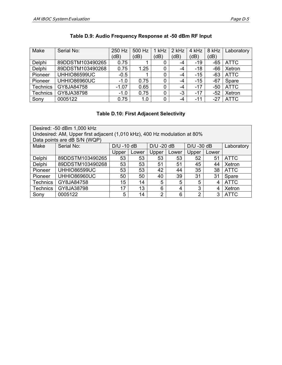| Make            | Serial No:          | 250 Hz  | 500 Hz | 1 kHz | 2 kHz | 4 kHz | 8 kHz | Laboratory  |
|-----------------|---------------------|---------|--------|-------|-------|-------|-------|-------------|
|                 |                     | (dB)    | (dB)   | (dB)  | (dB)  | (dB)  | (dB)  |             |
| Delphi          | 89DDSTM103490265    | 0.75    |        | O     | -4    | -19   | -65   | <b>ATTC</b> |
| Delphi          | 89DDSTM103490268    | 0.75    | 1.25   | 0     | -4    | -18   | -66   | Xetron      |
| Pioneer         | <b>UHHIO86599UC</b> | $-0.5$  |        | 0     | -4    | $-15$ | $-63$ | <b>ATTC</b> |
| Pioneer         | UHHIO86960UC        | $-1.0$  | 0.75   | 0     | -4    | $-15$ | $-67$ | Spare       |
| <b>Technics</b> | GY8JA84758          | $-1.07$ | 0.65   | 0     | $-4$  | $-17$ | -50   | <b>ATTC</b> |
| <b>Technics</b> | GY8JA38798          | $-1.0$  | 0.75   | 0     | -3    | $-17$ | -52   | Xetron      |
| Sony            | 0005122             | 0.75    | 1.0    | 0     | -4    | $-11$ | $-27$ | <b>ATTC</b> |

#### <span id="page-32-0"></span>**Table D.9: Audio Frequency Response at -50 dBm RF Input**

#### <span id="page-32-1"></span>**Table D.10: First Adjacent Selectivity**

| Desired: -50 dBm 1,000 kHz                                                |                                                      |               |       |                |       |               |       |             |
|---------------------------------------------------------------------------|------------------------------------------------------|---------------|-------|----------------|-------|---------------|-------|-------------|
| Undesired: AM, Upper first adjacent (1,010 kHz), 400 Hz modulation at 80% |                                                      |               |       |                |       |               |       |             |
|                                                                           | Data points are dB S/N (WQP)                         |               |       |                |       |               |       |             |
| Make                                                                      | Serial No:                                           | $D/U - 10 dB$ |       | $D/U - 20 dB$  |       | $D/U - 30 dB$ |       | Laboratory  |
|                                                                           |                                                      | Upper         | Lower | Upper          | Lower | Upper         | Lower |             |
| Delphi                                                                    | 89DDSTM103490265                                     | 53            | 53    | 53             | 53    | 52            | 51    | <b>ATTC</b> |
| Delphi                                                                    | 89DDSTM103490268                                     | 53            | 53    | 51             | 51    | 45            | 44    | Xetron      |
| Pioneer                                                                   | <b>UHHIO86599UC</b>                                  | 53            | 53    | 42             | 44    | 35            | 38    | <b>ATTC</b> |
| Pioneer                                                                   | UHHIO86960UC                                         | 50            | 50    | 40             | 39    | 31            | 31    | Spare       |
| <b>Technics</b>                                                           | GY8JA84758                                           | 15            | 14    | 5              | 5     | 5             | 4     | <b>ATTC</b> |
| <b>Technics</b>                                                           | 13<br>3<br>GY8JA38798<br>17<br>6<br>Xetron<br>4<br>4 |               |       |                |       |               |       |             |
| Sony                                                                      | 0005122                                              | 5             | 14    | $\overline{2}$ | 6     | າ             | 3     | <b>ATTC</b> |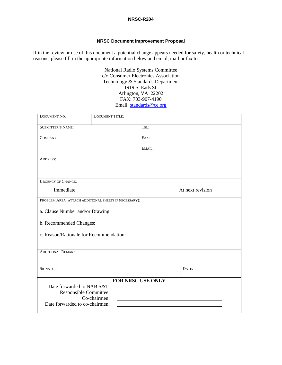#### **NRSC-R204**

#### **NRSC Document Improvement Proposal**

If in the review or use of this document a potential change appears needed for safety, health or technical reasons, please fill in the appropriate information below and email, mail or fax to:

> National Radio Systems Committee c/o Consumer Electronics Association Technology & Standards Department 1919 S. Eads St. Arlington, VA 22202 FAX: 703-907-4190 Email: standards@ce.org

| DOCUMENT NO.                                          | <b>DOCUMENT TITLE:</b> |                                                                         |  |  |  |
|-------------------------------------------------------|------------------------|-------------------------------------------------------------------------|--|--|--|
| <b>SUBMITTER'S NAME:</b>                              |                        | TEL:                                                                    |  |  |  |
| COMPANY:                                              |                        | FAX:                                                                    |  |  |  |
|                                                       |                        | EMAIL:                                                                  |  |  |  |
| <b>ADDRESS:</b>                                       |                        |                                                                         |  |  |  |
|                                                       |                        |                                                                         |  |  |  |
| <b>URGENCY OF CHANGE:</b>                             |                        |                                                                         |  |  |  |
| Immediate                                             |                        | At next revision                                                        |  |  |  |
| PROBLEM AREA (ATTACH ADDITIONAL SHEETS IF NECESSARY): |                        |                                                                         |  |  |  |
| a. Clause Number and/or Drawing:                      |                        |                                                                         |  |  |  |
| b. Recommended Changes:                               |                        |                                                                         |  |  |  |
| c. Reason/Rationale for Recommendation:               |                        |                                                                         |  |  |  |
|                                                       |                        |                                                                         |  |  |  |
| <b>ADDITIONAL REMARKS:</b>                            |                        |                                                                         |  |  |  |
| SIGNATURE:                                            |                        | DATE:                                                                   |  |  |  |
|                                                       | FOR NRSC USE ONLY      |                                                                         |  |  |  |
| Date forwarded to NAB S&T:                            |                        |                                                                         |  |  |  |
| Responsible Committee:                                | Co-chairmen:           | <u> 1989 - Johann Stein, mars an t-Amerikaansk kommunister (* 1958)</u> |  |  |  |
| Date forwarded to co-chairmen:                        |                        |                                                                         |  |  |  |